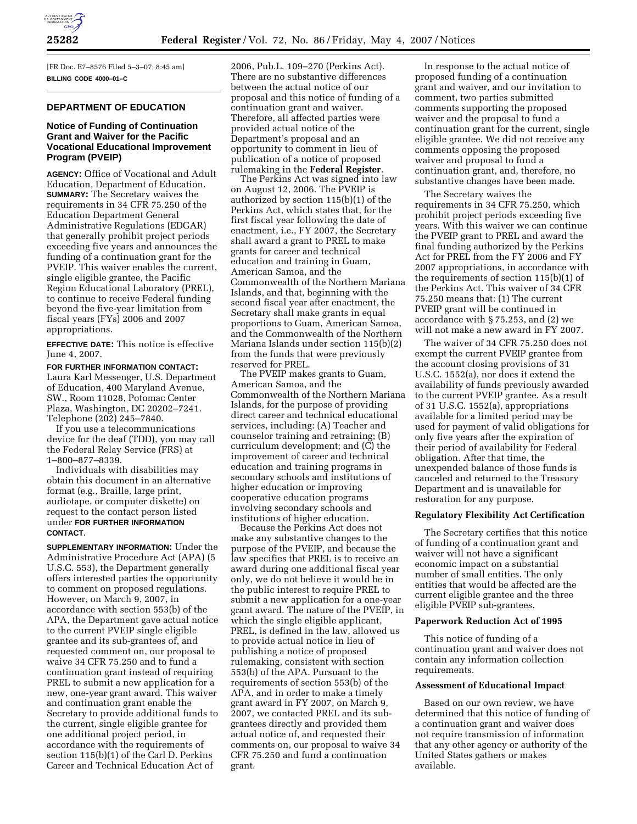

[FR Doc. E7–8576 Filed 5–3–07; 8:45 am] **BILLING CODE 4000–01–C** 

## **DEPARTMENT OF EDUCATION**

## **Notice of Funding of Continuation Grant and Waiver for the Pacific Vocational Educational Improvement Program (PVEIP)**

**AGENCY:** Office of Vocational and Adult Education, Department of Education. **SUMMARY:** The Secretary waives the requirements in 34 CFR 75.250 of the Education Department General Administrative Regulations (EDGAR) that generally prohibit project periods exceeding five years and announces the funding of a continuation grant for the PVEIP. This waiver enables the current, single eligible grantee, the Pacific Region Educational Laboratory (PREL), to continue to receive Federal funding beyond the five-year limitation from fiscal years (FYs) 2006 and 2007 appropriations.

**EFFECTIVE DATE:** This notice is effective June 4, 2007.

**FOR FURTHER INFORMATION CONTACT:**  Laura Karl Messenger, U.S. Department of Education, 400 Maryland Avenue, SW., Room 11028, Potomac Center Plaza, Washington, DC 20202–7241. Telephone (202) 245–7840.

If you use a telecommunications device for the deaf (TDD), you may call the Federal Relay Service (FRS) at 1–800–877–8339.

Individuals with disabilities may obtain this document in an alternative format (e.g., Braille, large print, audiotape, or computer diskette) on request to the contact person listed under **FOR FURTHER INFORMATION CONTACT**.

**SUPPLEMENTARY INFORMATION:** Under the Administrative Procedure Act (APA) (5 U.S.C. 553), the Department generally offers interested parties the opportunity to comment on proposed regulations. However, on March 9, 2007, in accordance with section 553(b) of the APA, the Department gave actual notice to the current PVEIP single eligible grantee and its sub-grantees of, and requested comment on, our proposal to waive 34 CFR 75.250 and to fund a continuation grant instead of requiring PREL to submit a new application for a new, one-year grant award. This waiver and continuation grant enable the Secretary to provide additional funds to the current, single eligible grantee for one additional project period, in accordance with the requirements of section 115(b)(1) of the Carl D. Perkins Career and Technical Education Act of

2006, Pub.L. 109–270 (Perkins Act). There are no substantive differences between the actual notice of our proposal and this notice of funding of a continuation grant and waiver. Therefore, all affected parties were provided actual notice of the Department's proposal and an opportunity to comment in lieu of publication of a notice of proposed rulemaking in the **Federal Register**.

The Perkins Act was signed into law on August 12, 2006. The PVEIP is authorized by section 115(b)(1) of the Perkins Act, which states that, for the first fiscal year following the date of enactment, i.e., FY 2007, the Secretary shall award a grant to PREL to make grants for career and technical education and training in Guam, American Samoa, and the Commonwealth of the Northern Mariana Islands, and that, beginning with the second fiscal year after enactment, the Secretary shall make grants in equal proportions to Guam, American Samoa, and the Commonwealth of the Northern Mariana Islands under section 115(b)(2) from the funds that were previously reserved for PREL.

The PVEIP makes grants to Guam, American Samoa, and the Commonwealth of the Northern Mariana Islands, for the purpose of providing direct career and technical educational services, including: (A) Teacher and counselor training and retraining; (B) curriculum development; and (C) the improvement of career and technical education and training programs in secondary schools and institutions of higher education or improving cooperative education programs involving secondary schools and institutions of higher education.

Because the Perkins Act does not make any substantive changes to the purpose of the PVEIP, and because the law specifies that PREL is to receive an award during one additional fiscal year only, we do not believe it would be in the public interest to require PREL to submit a new application for a one-year grant award. The nature of the PVEIP, in which the single eligible applicant, PREL, is defined in the law, allowed us to provide actual notice in lieu of publishing a notice of proposed rulemaking, consistent with section 553(b) of the APA. Pursuant to the requirements of section 553(b) of the APA, and in order to make a timely grant award in FY 2007, on March 9, 2007, we contacted PREL and its subgrantees directly and provided them actual notice of, and requested their comments on, our proposal to waive 34 CFR 75.250 and fund a continuation grant.

In response to the actual notice of proposed funding of a continuation grant and waiver, and our invitation to comment, two parties submitted comments supporting the proposed waiver and the proposal to fund a continuation grant for the current, single eligible grantee. We did not receive any comments opposing the proposed waiver and proposal to fund a continuation grant, and, therefore, no substantive changes have been made.

The Secretary waives the requirements in 34 CFR 75.250, which prohibit project periods exceeding five years. With this waiver we can continue the PVEIP grant to PREL and award the final funding authorized by the Perkins Act for PREL from the FY 2006 and FY 2007 appropriations, in accordance with the requirements of section 115(b)(1) of the Perkins Act. This waiver of 34 CFR 75.250 means that: (1) The current PVEIP grant will be continued in accordance with § 75.253, and (2) we will not make a new award in FY 2007.

The waiver of 34 CFR 75.250 does not exempt the current PVEIP grantee from the account closing provisions of 31 U.S.C. 1552(a), nor does it extend the availability of funds previously awarded to the current PVEIP grantee. As a result of 31 U.S.C. 1552(a), appropriations available for a limited period may be used for payment of valid obligations for only five years after the expiration of their period of availability for Federal obligation. After that time, the unexpended balance of those funds is canceled and returned to the Treasury Department and is unavailable for restoration for any purpose.

## **Regulatory Flexibility Act Certification**

The Secretary certifies that this notice of funding of a continuation grant and waiver will not have a significant economic impact on a substantial number of small entities. The only entities that would be affected are the current eligible grantee and the three eligible PVEIP sub-grantees.

## **Paperwork Reduction Act of 1995**

This notice of funding of a continuation grant and waiver does not contain any information collection requirements.

### **Assessment of Educational Impact**

Based on our own review, we have determined that this notice of funding of a continuation grant and waiver does not require transmission of information that any other agency or authority of the United States gathers or makes available.